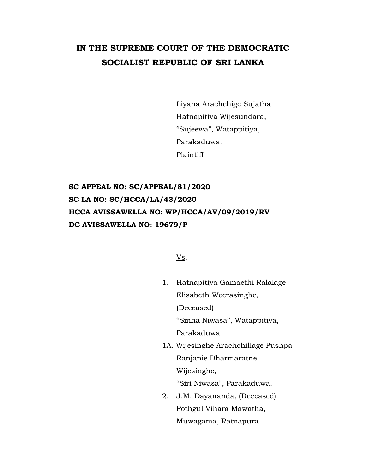# **IN THE SUPREME COURT OF THE DEMOCRATIC SOCIALIST REPUBLIC OF SRI LANKA**

Liyana Arachchige Sujatha Hatnapitiya Wijesundara, "Sujeewa", Watappitiya, Parakaduwa. Plaintiff

**SC APPEAL NO: SC/APPEAL/81/2020 SC LA NO: SC/HCCA/LA/43/2020 HCCA AVISSAWELLA NO: WP/HCCA/AV/09/2019/RV DC AVISSAWELLA NO: 19679/P**

Vs.

- 1. Hatnapitiya Gamaethi Ralalage Elisabeth Weerasinghe, (Deceased) "Sinha Niwasa", Watappitiya, Parakaduwa.
- 1A. Wijesinghe Arachchillage Pushpa Ranjanie Dharmaratne Wijesinghe,

"Siri Niwasa", Parakaduwa.

2. J.M. Dayananda, (Deceased) Pothgul Vihara Mawatha, Muwagama, Ratnapura.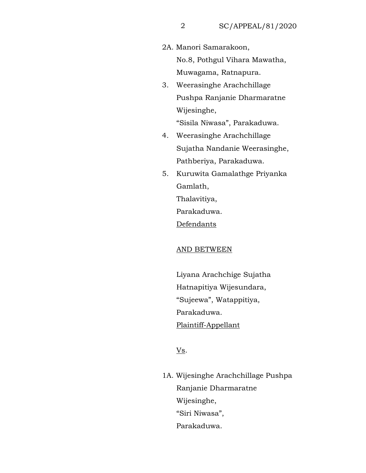2A. Manori Samarakoon,

No.8, Pothgul Vihara Mawatha, Muwagama, Ratnapura.

- 3. Weerasinghe Arachchillage Pushpa Ranjanie Dharmaratne Wijesinghe, "Sisila Niwasa", Parakaduwa.
- 4. Weerasinghe Arachchillage Sujatha Nandanie Weerasinghe, Pathberiya, Parakaduwa.
- 5. Kuruwita Gamalathge Priyanka Gamlath, Thalavitiya, Parakaduwa.

Defendants

## AND BETWEEN

Liyana Arachchige Sujatha Hatnapitiya Wijesundara, "Sujeewa", Watappitiya, Parakaduwa. Plaintiff-Appellant

 $\underline{\mathbf{V}}\underline{\mathbf{s}}$ .

1A. Wijesinghe Arachchillage Pushpa Ranjanie Dharmaratne Wijesinghe, "Siri Niwasa", Parakaduwa.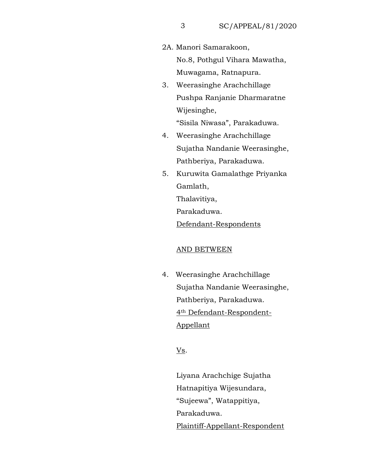2A. Manori Samarakoon,

No.8, Pothgul Vihara Mawatha, Muwagama, Ratnapura.

- 3. Weerasinghe Arachchillage Pushpa Ranjanie Dharmaratne Wijesinghe, "Sisila Niwasa", Parakaduwa.
- 4. Weerasinghe Arachchillage Sujatha Nandanie Weerasinghe, Pathberiya, Parakaduwa.
- 5. Kuruwita Gamalathge Priyanka Gamlath,

Thalavitiya,

Parakaduwa.

Defendant-Respondents

## AND BETWEEN

4. Weerasinghe Arachchillage Sujatha Nandanie Weerasinghe, Pathberiya, Parakaduwa. 4th Defendant-Respondent-Appellant

Vs.

Liyana Arachchige Sujatha Hatnapitiya Wijesundara, "Sujeewa", Watappitiya, Parakaduwa. Plaintiff-Appellant-Respondent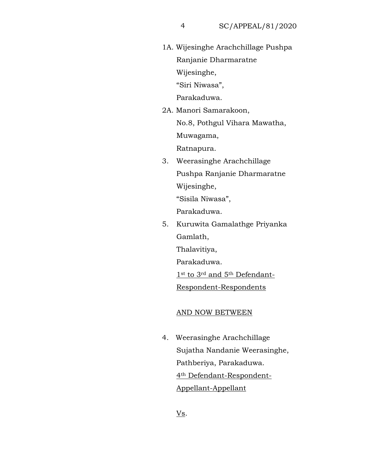1A. Wijesinghe Arachchillage Pushpa Ranjanie Dharmaratne Wijesinghe, "Siri Niwasa",

Parakaduwa.

2A. Manori Samarakoon, No.8, Pothgul Vihara Mawatha, Muwagama,

Ratnapura.

3. Weerasinghe Arachchillage Pushpa Ranjanie Dharmaratne Wijesinghe,

"Sisila Niwasa",

Parakaduwa.

5. Kuruwita Gamalathge Priyanka Gamlath,

Thalavitiya,

Parakaduwa.

1st to 3rd and 5th Defendant-

Respondent-Respondents

#### AND NOW BETWEEN

4. Weerasinghe Arachchillage Sujatha Nandanie Weerasinghe, Pathberiya, Parakaduwa. 4th Defendant-Respondent-Appellant-Appellant

Vs.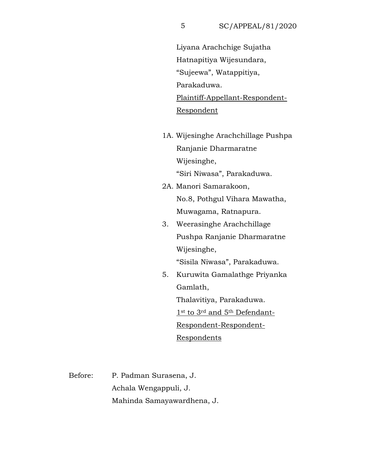Liyana Arachchige Sujatha Hatnapitiya Wijesundara, "Sujeewa", Watappitiya, Parakaduwa. Plaintiff-Appellant-Respondent-Respondent

- 1A. Wijesinghe Arachchillage Pushpa Ranjanie Dharmaratne Wijesinghe, "Siri Niwasa", Parakaduwa.
- 2A. Manori Samarakoon, No.8, Pothgul Vihara Mawatha, Muwagama, Ratnapura.
- 3. Weerasinghe Arachchillage Pushpa Ranjanie Dharmaratne Wijesinghe, "Sisila Niwasa", Parakaduwa.
- 5. Kuruwita Gamalathge Priyanka Gamlath,

Thalavitiya, Parakaduwa. 1st to 3rd and 5th Defendant-Respondent-Respondent-Respondents

Before: P. Padman Surasena, J. Achala Wengappuli, J. Mahinda Samayawardhena, J.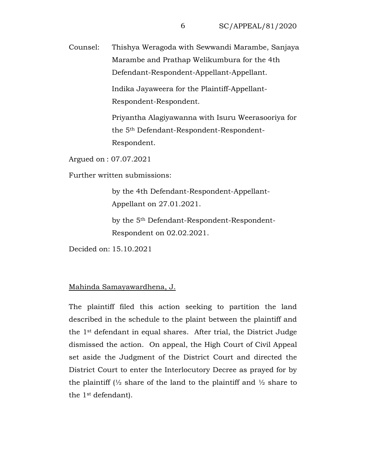Counsel: Thishya Weragoda with Sewwandi Marambe, Sanjaya Marambe and Prathap Welikumbura for the 4th Defendant-Respondent-Appellant-Appellant.

> Indika Jayaweera for the Plaintiff-Appellant-Respondent-Respondent.

Priyantha Alagiyawanna with Isuru Weerasooriya for the 5th Defendant-Respondent-Respondent-Respondent.

Argued on : 07.07.2021

Further written submissions:

by the 4th Defendant-Respondent-Appellant-Appellant on 27.01.2021.

by the 5th Defendant-Respondent-Respondent-Respondent on 02.02.2021.

Decided on: 15.10.2021

### Mahinda Samayawardhena, J.

The plaintiff filed this action seeking to partition the land described in the schedule to the plaint between the plaintiff and the 1st defendant in equal shares. After trial, the District Judge dismissed the action. On appeal, the High Court of Civil Appeal set aside the Judgment of the District Court and directed the District Court to enter the Interlocutory Decree as prayed for by the plaintiff  $\frac{1}{2}$  share of the land to the plaintiff and  $\frac{1}{2}$  share to the 1st defendant).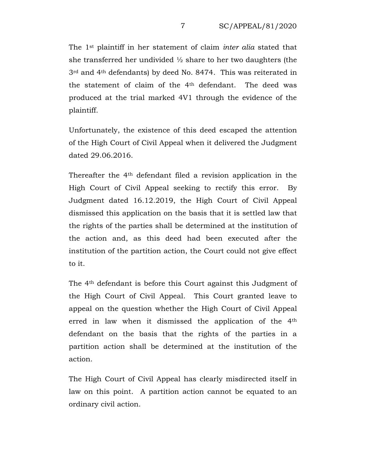The 1st plaintiff in her statement of claim *inter alia* stated that she transferred her undivided ½ share to her two daughters (the 3rd and 4th defendants) by deed No. 8474. This was reiterated in the statement of claim of the 4th defendant. The deed was produced at the trial marked 4V1 through the evidence of the plaintiff.

Unfortunately, the existence of this deed escaped the attention of the High Court of Civil Appeal when it delivered the Judgment dated 29.06.2016.

Thereafter the 4th defendant filed a revision application in the High Court of Civil Appeal seeking to rectify this error. By Judgment dated 16.12.2019, the High Court of Civil Appeal dismissed this application on the basis that it is settled law that the rights of the parties shall be determined at the institution of the action and, as this deed had been executed after the institution of the partition action, the Court could not give effect to it.

The 4th defendant is before this Court against this Judgment of the High Court of Civil Appeal. This Court granted leave to appeal on the question whether the High Court of Civil Appeal erred in law when it dismissed the application of the 4th defendant on the basis that the rights of the parties in a partition action shall be determined at the institution of the action.

The High Court of Civil Appeal has clearly misdirected itself in law on this point. A partition action cannot be equated to an ordinary civil action.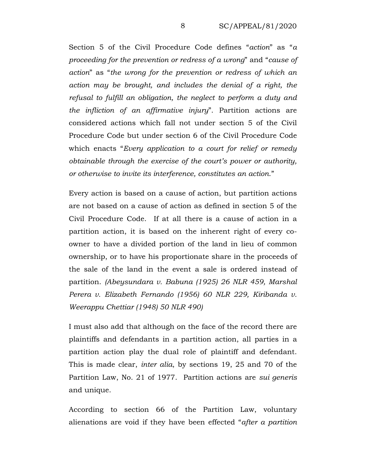Section 5 of the Civil Procedure Code defines "*action*" as "*a proceeding for the prevention or redress of a wrong*" and "*cause of action*" as "*the wrong for the prevention or redress of which an action may be brought, and includes the denial of a right, the refusal to fulfill an obligation, the neglect to perform a duty and the infliction of an affirmative injury*". Partition actions are considered actions which fall not under section 5 of the Civil Procedure Code but under section 6 of the Civil Procedure Code which enacts "*Every application to a court for relief or remedy obtainable through the exercise of the court's power or authority, or otherwise to invite its interference, constitutes an action*."

Every action is based on a cause of action, but partition actions are not based on a cause of action as defined in section 5 of the Civil Procedure Code. If at all there is a cause of action in a partition action, it is based on the inherent right of every coowner to have a divided portion of the land in lieu of common ownership, or to have his proportionate share in the proceeds of the sale of the land in the event a sale is ordered instead of partition. *(Abeysundara v. Babuna (1925) 26 NLR 459, Marshal Perera v. Elizabeth Fernando (1956) 60 NLR 229, Kiribanda v. Weerappu Chettiar (1948) 50 NLR 490)*

I must also add that although on the face of the record there are plaintiffs and defendants in a partition action, all parties in a partition action play the dual role of plaintiff and defendant. This is made clear, *inter alia*, by sections 19, 25 and 70 of the Partition Law, No. 21 of 1977. Partition actions are *sui generis* and unique.

According to section 66 of the Partition Law, voluntary alienations are void if they have been effected "*after a partition*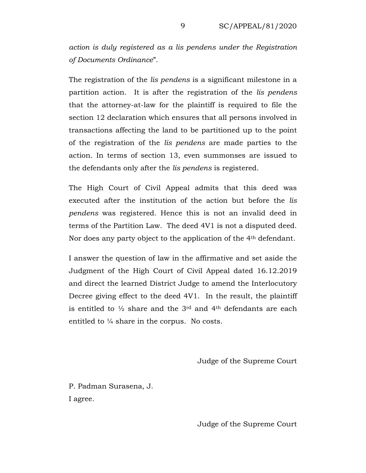*action is duly registered as a lis pendens under the Registration of Documents Ordinance*".

The registration of the *lis pendens* is a significant milestone in a partition action. It is after the registration of the *lis pendens* that the attorney-at-law for the plaintiff is required to file the section 12 declaration which ensures that all persons involved in transactions affecting the land to be partitioned up to the point of the registration of the *lis pendens* are made parties to the action. In terms of section 13, even summonses are issued to the defendants only after the *lis pendens* is registered.

The High Court of Civil Appeal admits that this deed was executed after the institution of the action but before the *lis pendens* was registered. Hence this is not an invalid deed in terms of the Partition Law. The deed 4V1 is not a disputed deed. Nor does any party object to the application of the 4th defendant.

I answer the question of law in the affirmative and set aside the Judgment of the High Court of Civil Appeal dated 16.12.2019 and direct the learned District Judge to amend the Interlocutory Decree giving effect to the deed 4V1. In the result, the plaintiff is entitled to  $\frac{1}{2}$  share and the 3<sup>rd</sup> and 4<sup>th</sup> defendants are each entitled to ¼ share in the corpus. No costs.

Judge of the Supreme Court

P. Padman Surasena, J. I agree.

Judge of the Supreme Court